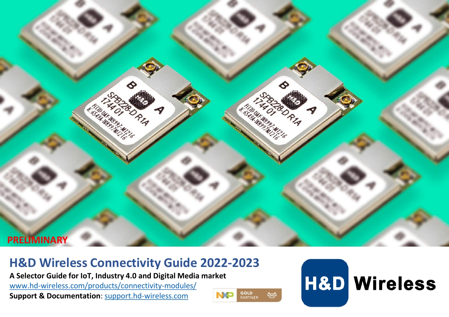

# **H&D Wireless Connectivity Guide 2022-2023**

**A Selector Guide for IoT, Industry 4.0 and Digital Media market** 

[www.hd-wireless.com/products/connectivity-modules/](http://www.hd-wireless.com/products/connectivity-modules/)

**Support & Documentation**: [support.hd-wireless.com](http://docker.hd-wireless.com/Support/WebHome)



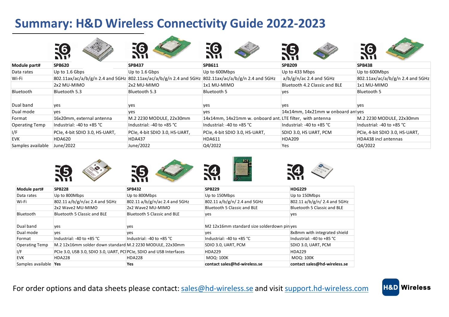# **Summary: H&D Wireless Connectivity Guide 2022-2023**

|                       | <b>.G</b>                      |                                                                                                    | $\Xi$ 6                                                   |                                   |                                  |
|-----------------------|--------------------------------|----------------------------------------------------------------------------------------------------|-----------------------------------------------------------|-----------------------------------|----------------------------------|
| Module part#          | <b>SPB620</b>                  | <b>SPB437</b>                                                                                      | <b>SPB611</b>                                             | <b>SPB209</b>                     | <b>SPB438</b>                    |
| Data rates            | Up to 1.6 Gbps                 | Up to 1.6 Gbps                                                                                     | Up to 600Mbps                                             | Up to 433 Mbps                    | Up to 600Mbps                    |
| Wi-Fi                 |                                | 802.11ax/ac/a/b/g/n 2.4 and 5GHz 802.11ax/ac/a/b/g/n 2.4 and 5GHz 802.11ax/ac/a/b/g/n 2.4 and 5GHz |                                                           | $a/b/g/n/ac$ 2.4 and 5GHz         | 802.11ax/ac/a/b/g/n 2.4 and 5GHz |
|                       | 2x2 MU-MIMO                    | 2x2 MU-MIMO                                                                                        | 1x1 MU-MIMO                                               | Bluetooth 4.2 Classic and BLE     | 1x1 MU-MIMO                      |
| Bluetooth             | Bluetooth 5.3                  | Bluetooth 5.3                                                                                      | Bluetooth 5                                               | yes                               | Bluetooth 5                      |
| Dual band             | yes                            | yes                                                                                                | yes                                                       | ves                               | yes                              |
| Dual mode             | yes                            | yes                                                                                                | yes                                                       | 14x14mm, 14x21mm w onboard anives |                                  |
| Format                | 16x20mm, external antenna      | M.2 2230 MODULE, 22x30mm                                                                           | 14x14mm, 14x21mm w. onboard ant. LTE filter, with antenna |                                   | M.2 2230 MODULE, 22x30mm         |
| <b>Operating Temp</b> | Industrial: -40 to +85 °C      | Industrial: -40 to +85 °C                                                                          | Industrial: -40 to +85 °C                                 | Industrial: -40 to +85 °C         | Industrial: -40 to +85 °C        |
| 1/F                   | PCIe, 4-bit SDIO 3.0, HS-UART, | PCIe, 4-bit SDIO 3.0, HS-UART,                                                                     | PCIe, 4-bit SDIO 3.0, HS-UART,                            | SDIO 3.0, HS UART, PCM            | PCIe, 4-bit SDIO 3.0, HS-UART,   |
| <b>EVK</b>            | <b>HDA620</b>                  | <b>HDA437</b>                                                                                      | <b>HDA611</b>                                             | <b>HDA209</b>                     | HDA438 incl antennas             |
| Samples available     | June/2022                      | June/2022                                                                                          | Q4/2022                                                   | Yes                               | Q4/2022                          |

|                       | 55                                                                  |                                | -4                                          |                              |
|-----------------------|---------------------------------------------------------------------|--------------------------------|---------------------------------------------|------------------------------|
| Module part#          | <b>SPB228</b>                                                       | <b>SPB432</b>                  | <b>SPB229</b>                               | <b>HDG229</b>                |
| Data rates            | Up to 800Mbps                                                       | Up to 800Mbps                  | Up to 150Mbps                               | Up to 150Mbps                |
| Wi-Fi                 | 802.11 a/b/g/n/ac 2.4 and 5GHz                                      | 802.11 a/b/g/n/ac 2.4 and 5GHz | 802.11 a/b/g/n/ 2.4 and 5GHz                | 802.11 a/b/g/n/ 2.4 and 5GHz |
|                       | 2x2 Wave2 MU-MIMO                                                   | 2x2 Wave2 MU-MIMO              | Bluetooth 5 Classic and BLE                 | Bluetooth 5 Classic and BLE  |
| Bluetooth             | Bluetooth 5 Classic and BLE                                         | Bluetooth 5 Classic and BLE    | yes                                         | yes                          |
| Dual band             | yes                                                                 | ves                            | M2 12x16mm standard size solderdown pin yes |                              |
| Dual mode             | yes                                                                 | ves                            | yes                                         | 8x8mm with integrated shield |
| Format                | Industrial: -40 to +85 °C                                           | Industrial: -40 to +85 °C      | Industrial: -40 to +85 °C                   | Industrial: -40 to +85 °C    |
| <b>Operating Temp</b> | M.2 12x16mm solder down standard M.2 2230 MODULE, 22x30mm           |                                | SDIO 3.0, UART, PCM                         | SDIO 3.0, UART, PCM          |
| I/F                   | PCIe 3.0, USB 3.0, SDIO 3.0, UART, PCIPCIe, SDIO and USB Interfaces |                                | <b>HDA229</b>                               | <b>HDA229</b>                |
| <b>EVK</b>            | <b>HDA228</b>                                                       | <b>HDA228</b>                  | MOQ: 100K                                   | MOQ: 100K                    |
| Samples available Yes |                                                                     | Yes                            | contact sales@hd-wireless.se                | contact sales@hd-wireless.se |

For order options and data sheets please contact: [sales@hd-wireless.se](mailto:sales@hd-wireless.se) and visit [support.hd-wireless.com](http://docker.hd-wireless.com/Support/WebHome)

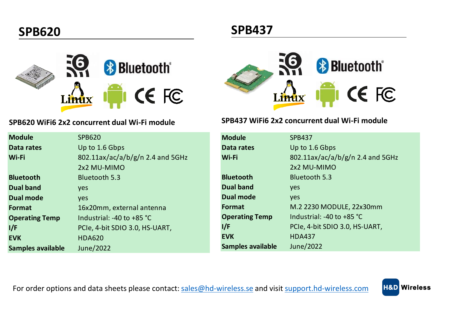

#### **SPB620 WiFi6 2x2 concurrent dual Wi-Fi module**

| <b>Module</b>         | <b>SPB620</b>                    |
|-----------------------|----------------------------------|
| Data rates            | Up to 1.6 Gbps                   |
| Wi-Fi                 | 802.11ax/ac/a/b/g/n 2.4 and 5GHz |
|                       | 2x2 MU-MIMO                      |
| <b>Bluetooth</b>      | Bluetooth 5.3                    |
| <b>Dual band</b>      | yes                              |
| Dual mode             | ves                              |
| Format                | 16x20mm, external antenna        |
| <b>Operating Temp</b> | Industrial: -40 to $+85$ °C      |
| l/F                   | PCIe, 4-bit SDIO 3.0, HS-UART,   |
| <b>EVK</b>            | <b>HDA620</b>                    |
| Samples available     | June/2022                        |



#### **SPB437 WiFi6 2x2 concurrent dual Wi-Fi module**

| <b>Module</b>         | <b>SPB437</b>                       |
|-----------------------|-------------------------------------|
| Data rates            | Up to 1.6 Gbps                      |
| Wi-Fi                 | 802.11ax/ac/a/b/g/n 2.4 and 5GHz    |
|                       | 2x2 MU-MIMO                         |
| <b>Bluetooth</b>      | Bluetooth 5.3                       |
| Dual band             | <b>ves</b>                          |
| Dual mode             | <b>ves</b>                          |
| Format                | M.2 2230 MODULE, 22x30mm            |
| <b>Operating Temp</b> | Industrial: -40 to +85 $^{\circ}$ C |
| 1/F                   | PCIe, 4-bit SDIO 3.0, HS-UART,      |
| <b>EVK</b>            | <b>HDA437</b>                       |
| Samples available     | June/2022                           |
|                       |                                     |

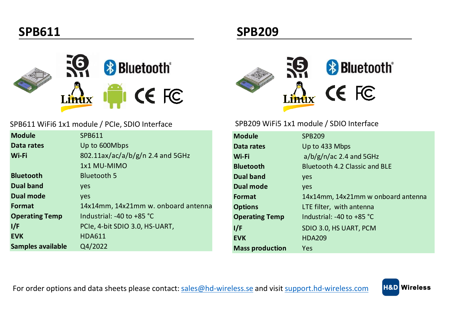

### SPB611 WiFi6 1x1 module / PCIe, SDIO Interface

| <b>Module</b>         | SPB611                              |
|-----------------------|-------------------------------------|
| Data rates            | Up to 600Mbps                       |
| Wi-Fi                 | 802.11ax/ac/a/b/g/n 2.4 and 5GHz    |
|                       | 1x1 MU-MIMO                         |
| <b>Bluetooth</b>      | Bluetooth 5                         |
| <b>Dual band</b>      | yes                                 |
| <b>Dual mode</b>      | <b>ves</b>                          |
| Format                | 14x14mm, 14x21mm w. onboard antenna |
| <b>Operating Temp</b> | Industrial: $-40$ to $+85$ °C       |
| l/F                   | PCIe, 4-bit SDIO 3.0, HS-UART,      |
| <b>EVK</b>            | <b>HDA611</b>                       |
| Samples available     | Q4/2022                             |

# **& Bluetooth**<sup>®</sup> CE FC Linux

**SPB209** 

#### SPB209 WiFi5 1x1 module / SDIO Interface

| <b>Module</b>          | <b>SPB209</b>                      |
|------------------------|------------------------------------|
| Data rates             | Up to 433 Mbps                     |
| Wi-Fi                  | $a/b/g/n/ac$ 2.4 and 5GHz          |
| <b>Bluetooth</b>       | Bluetooth 4.2 Classic and BLF      |
| Dual band              | yes                                |
| Dual mode              | <b>ves</b>                         |
| Format                 | 14x14mm, 14x21mm w onboard antenna |
| <b>Options</b>         | LTE filter, with antenna           |
| <b>Operating Temp</b>  | Industrial: $-40$ to $+85$ °C      |
| 1/F                    | SDIO 3.0, HS UART, PCM             |
| <b>EVK</b>             | <b>HDA209</b>                      |
| <b>Mass production</b> | Yes                                |

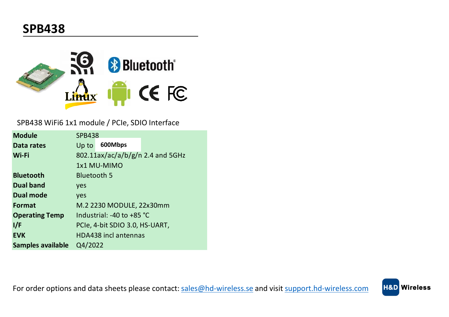

SPB438 WiFi6 1x1 module / PCIe, SDIO Interface

| <b>Module</b>         | <b>SPB438</b>      |                                |                                  |
|-----------------------|--------------------|--------------------------------|----------------------------------|
| Data rates            | Up to              | 600Mbps                        |                                  |
| Wi-Fi                 |                    |                                | 802.11ax/ac/a/b/g/n 2.4 and 5GHz |
|                       |                    | 1x1 MU-MIMO                    |                                  |
| <b>Bluetooth</b>      | <b>Bluetooth 5</b> |                                |                                  |
| <b>Dual band</b>      | ves                |                                |                                  |
| Dual mode             | ves                |                                |                                  |
| Format                |                    | M.2 2230 MODULE, 22x30mm       |                                  |
| <b>Operating Temp</b> |                    | Industrial: $-40$ to $+85$ °C  |                                  |
| l/F                   |                    | PCIe, 4-bit SDIO 3.0, HS-UART, |                                  |
| <b>EVK</b>            |                    | <b>HDA438</b> incl antennas    |                                  |
| Samples available     | Q4/2022            |                                |                                  |

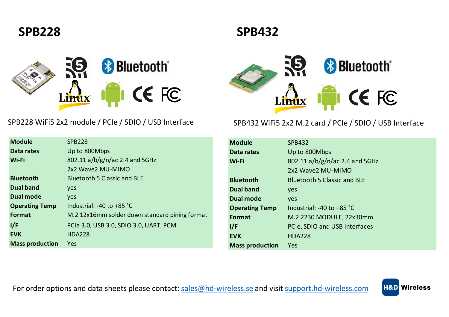

| <b>SPB228</b>                                  |
|------------------------------------------------|
| Up to 800Mbps                                  |
| 802.11 $a/b/g/n/ac$ 2.4 and 5GHz               |
| 2x2 Wave2 MU-MIMO                              |
| <b>Bluetooth 5 Classic and BLE</b>             |
| <b>ves</b>                                     |
| ves                                            |
| Industrial: $-40$ to $+85$ °C                  |
| M.2 12x16mm solder down standard pining format |
| PCIe 3.0, USB 3.0, SDIO 3.0, UART, PCM         |
| <b>HDA228</b>                                  |
| Yes                                            |
|                                                |

## **SPB432**



### SPB228 WiFi5 2x2 module / PCIe / SDIO / USB Interface SPB432 WiFi5 2x2 M.2 card / PCIe / SDIO / USB Interface

| <b>Module</b>          | <b>SPB432</b>                  |
|------------------------|--------------------------------|
| Data rates             | Up to 800Mbps                  |
| Wi-Fi                  | 802.11 a/b/g/n/ac 2.4 and 5GHz |
|                        | 2x2 Wave2 MU-MIMO              |
| <b>Bluetooth</b>       | Bluetooth 5 Classic and BLF    |
| Dual band              | yes                            |
| Dual mode              | <b>ves</b>                     |
| <b>Operating Temp</b>  | Industrial: $-40$ to $+85$ °C  |
| Format                 | M.2 2230 MODULE, 22x30mm       |
| 1/F                    | PCIe, SDIO and USB Interfaces  |
| <b>EVK</b>             | <b>HDA228</b>                  |
| <b>Mass production</b> | Yes                            |